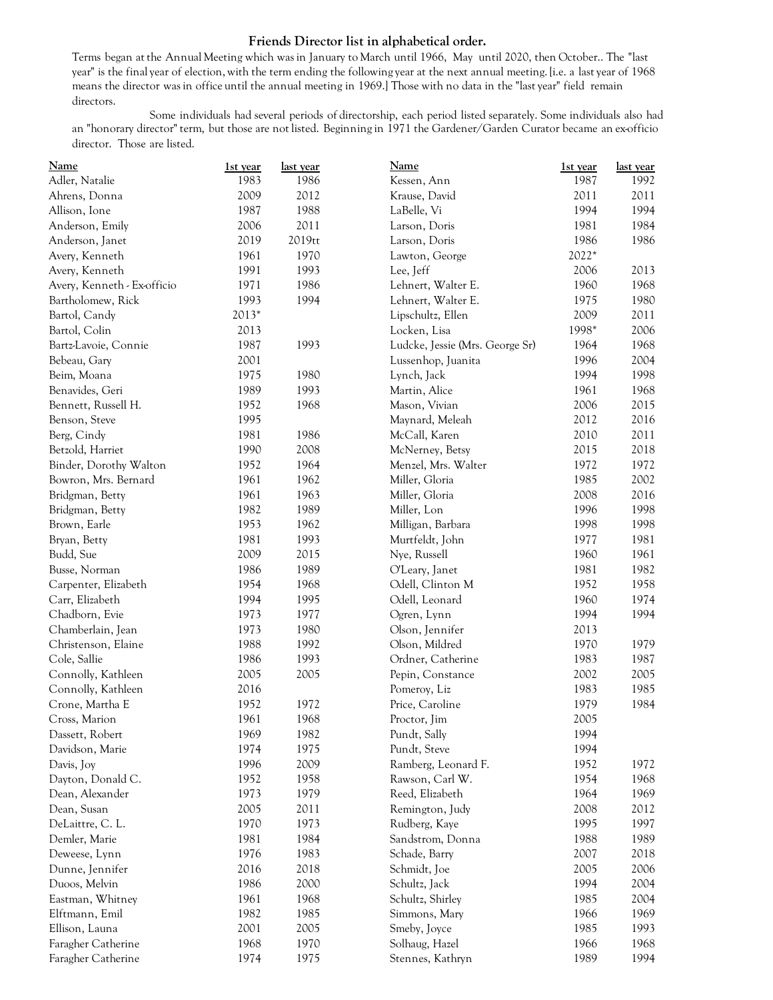## **Friends Director list in alphabetical order.**

Terms began at the Annual Meeting which was in January to March until 1966, May until 2020, then October.. The "last year" is the final year of election, with the term ending the following year at the next annual meeting. [i.e. a last year of 1968 means the director was in office until the annual meeting in 1969.] Those with no data in the "last year" field remain directors.

Some individuals had several periods of directorship, each period listed separately. Some individuals also had an "honorary director" term, but those are not listed. Beginning in 1971 the Gardener/Garden Curator became an ex-officio director. Those are listed.

| <b>Name</b>                 | 1st year | last year | <b>Name</b>                     | 1st year | last year |
|-----------------------------|----------|-----------|---------------------------------|----------|-----------|
| Adler, Natalie              | 1983     | 1986      | Kessen, Ann                     | 1987     | 1992      |
| Ahrens, Donna               | 2009     | 2012      | Krause, David                   | 2011     | 2011      |
| Allison, Ione               | 1987     | 1988      | LaBelle, Vi                     | 1994     | 1994      |
| Anderson, Emily             | 2006     | 2011      | Larson, Doris                   | 1981     | 1984      |
| Anderson, Janet             | 2019     | 2019tt    | Larson, Doris                   | 1986     | 1986      |
| Avery, Kenneth              | 1961     | 1970      | Lawton, George                  | 2022*    |           |
| Avery, Kenneth              | 1991     | 1993      | Lee, Jeff                       | 2006     | 2013      |
| Avery, Kenneth - Ex-officio | 1971     | 1986      | Lehnert, Walter E.              | 1960     | 1968      |
| Bartholomew, Rick           | 1993     | 1994      | Lehnert, Walter E.              | 1975     | 1980      |
| Bartol, Candy               | 2013*    |           | Lipschultz, Ellen               | 2009     | 2011      |
| Bartol, Colin               | 2013     |           | Locken, Lisa                    | 1998*    | 2006      |
| Bartz-Lavoie, Connie        | 1987     | 1993      | Ludcke, Jessie (Mrs. George Sr) | 1964     | 1968      |
| Bebeau, Gary                | 2001     |           | Lussenhop, Juanita              | 1996     | 2004      |
| Beim, Moana                 | 1975     | 1980      | Lynch, Jack                     | 1994     | 1998      |
| Benavides, Geri             | 1989     | 1993      | Martin, Alice                   | 1961     | 1968      |
| Bennett, Russell H.         | 1952     | 1968      | Mason, Vivian                   | 2006     | 2015      |
| Benson, Steve               | 1995     |           | Maynard, Meleah                 | 2012     | 2016      |
| Berg, Cindy                 | 1981     | 1986      | McCall, Karen                   | 2010     | 2011      |
| Betzold, Harriet            | 1990     | 2008      | McNerney, Betsy                 | 2015     | 2018      |
| Binder, Dorothy Walton      | 1952     | 1964      | Menzel, Mrs. Walter             | 1972     | 1972      |
| Bowron, Mrs. Bernard        | 1961     | 1962      | Miller, Gloria                  | 1985     | 2002      |
| Bridgman, Betty             | 1961     | 1963      | Miller, Gloria                  | 2008     | 2016      |
| Bridgman, Betty             | 1982     | 1989      | Miller, Lon                     | 1996     | 1998      |
| Brown, Earle                | 1953     | 1962      | Milligan, Barbara               | 1998     | 1998      |
| Bryan, Betty                | 1981     | 1993      | Murtfeldt, John                 | 1977     | 1981      |
| Budd, Sue                   | 2009     | 2015      | Nye, Russell                    | 1960     | 1961      |
| Busse, Norman               | 1986     | 1989      | O'Leary, Janet                  | 1981     | 1982      |
| Carpenter, Elizabeth        | 1954     | 1968      | Odell, Clinton M                | 1952     | 1958      |
| Carr, Elizabeth             | 1994     | 1995      | Odell, Leonard                  | 1960     | 1974      |
| Chadborn, Evie              | 1973     | 1977      | Ogren, Lynn                     | 1994     | 1994      |
| Chamberlain, Jean           | 1973     | 1980      | Olson, Jennifer                 | 2013     |           |
| Christenson, Elaine         | 1988     | 1992      | Olson, Mildred                  | 1970     | 1979      |
| Cole, Sallie                | 1986     | 1993      | Ordner, Catherine               | 1983     | 1987      |
| Connolly, Kathleen          | 2005     | 2005      | Pepin, Constance                | 2002     | 2005      |
| Connolly, Kathleen          | 2016     |           | Pomeroy, Liz                    | 1983     | 1985      |
| Crone, Martha E             | 1952     | 1972      | Price, Caroline                 | 1979     | 1984      |
| Cross, Marion               | 1961     | 1968      | Proctor, Jim                    | 2005     |           |
| Dassett, Robert             | 1969     | 1982      | Pundt, Sally                    | 1994     |           |
| Davidson, Marie             | 1974     | 1975      | Pundt, Steve                    | 1994     |           |
| Davis, Joy                  | 1996     | 2009      | Ramberg, Leonard F.             | 1952     | 1972      |
| Dayton, Donald C.           | 1952     | 1958      | Rawson, Carl W.                 | 1954     | 1968      |
| Dean, Alexander             | 1973     | 1979      | Reed, Elizabeth                 | 1964     | 1969      |
| Dean, Susan                 | 2005     | 2011      | Remington, Judy                 | 2008     | 2012      |
| DeLaittre, C. L.            | 1970     | 1973      | Rudberg, Kaye                   | 1995     | 1997      |
| Demler, Marie               | 1981     | 1984      | Sandstrom, Donna                | 1988     | 1989      |
| Deweese, Lynn               | 1976     | 1983      | Schade, Barry                   | 2007     | 2018      |
| Dunne, Jennifer             | 2016     | 2018      | Schmidt, Joe                    | 2005     | 2006      |
| Duoos, Melvin               | 1986     | 2000      | Schultz, Jack                   | 1994     | 2004      |
| Eastman, Whitney            | 1961     | 1968      | Schultz, Shirley                | 1985     | 2004      |
| Elftmann, Emil              | 1982     | 1985      | Simmons, Mary                   | 1966     | 1969      |
| Ellison, Launa              | 2001     | 2005      | Smeby, Joyce                    | 1985     | 1993      |
| Faragher Catherine          | 1968     | 1970      | Solhaug, Hazel                  | 1966     | 1968      |
| Faragher Catherine          | 1974     | 1975      | Stennes, Kathryn                | 1989     | 1994      |